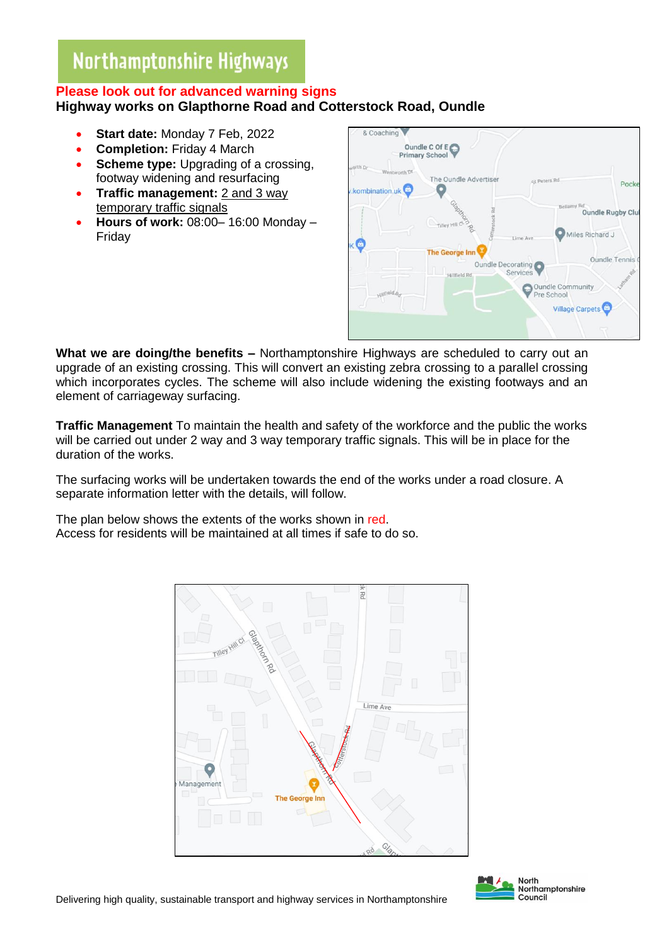# Northamptonshire Highways

## **Please look out for advanced warning signs Highway works on Glapthorne Road and Cotterstock Road, Oundle**

- **Start date:** Monday 7 Feb, 2022
- **Completion:** Friday 4 March
- **Scheme type:** Upgrading of a crossing, footway widening and resurfacing
- **Traffic management:** 2 and 3 way temporary traffic signals
- **Hours of work:** 08:00– 16:00 Monday Friday



**What we are doing/the benefits –** Northamptonshire Highways are scheduled to carry out an upgrade of an existing crossing. This will convert an existing zebra crossing to a parallel crossing which incorporates cycles. The scheme will also include widening the existing footways and an element of carriageway surfacing.

**Traffic Management** To maintain the health and safety of the workforce and the public the works will be carried out under 2 way and 3 way temporary traffic signals. This will be in place for the duration of the works.

The surfacing works will be undertaken towards the end of the works under a road closure. A separate information letter with the details, will follow.

The plan below shows the extents of the works shown in red. Access for residents will be maintained at all times if safe to do so.